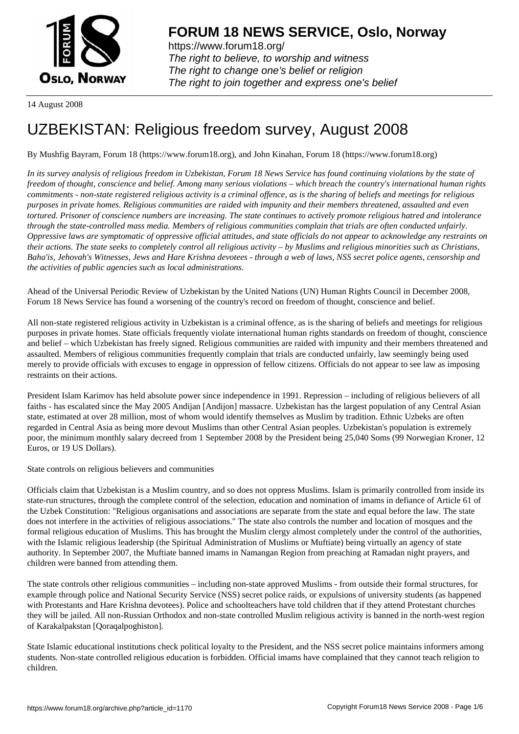

https://www.forum18.org/ The right to believe, to worship and witness The right to change one's belief or religion [The right to join together a](https://www.forum18.org/)nd express one's belief

14 August 2008

# [UZBEKISTAN:](https://www.forum18.org) Religious freedom survey, August 2008

By Mushfig Bayram, Forum 18 (https://www.forum18.org), and John Kinahan, Forum 18 (https://www.forum18.org)

*In its survey analysis of religious freedom in Uzbekistan, Forum 18 News Service has found continuing violations by the state of freedom of thought, conscience and belief. Among many serious violations – which breach the country's international human rights commitments - non-state registered religious activity is a criminal offence, as is the sharing of beliefs and meetings for religious purposes in private homes. Religious communities are raided with impunity and their members threatened, assaulted and even tortured. Prisoner of conscience numbers are increasing. The state continues to actively promote religious hatred and intolerance through the state-controlled mass media. Members of religious communities complain that trials are often conducted unfairly. Oppressive laws are symptomatic of oppressive official attitudes, and state officials do not appear to acknowledge any restraints on their actions. The state seeks to completely control all religious activity – by Muslims and religious minorities such as Christians, Baha'is, Jehovah's Witnesses, Jews and Hare Krishna devotees - through a web of laws, NSS secret police agents, censorship and the activities of public agencies such as local administrations.*

Ahead of the Universal Periodic Review of Uzbekistan by the United Nations (UN) Human Rights Council in December 2008, Forum 18 News Service has found a worsening of the country's record on freedom of thought, conscience and belief.

All non-state registered religious activity in Uzbekistan is a criminal offence, as is the sharing of beliefs and meetings for religious purposes in private homes. State officials frequently violate international human rights standards on freedom of thought, conscience and belief – which Uzbekistan has freely signed. Religious communities are raided with impunity and their members threatened and assaulted. Members of religious communities frequently complain that trials are conducted unfairly, law seemingly being used merely to provide officials with excuses to engage in oppression of fellow citizens. Officials do not appear to see law as imposing restraints on their actions.

President Islam Karimov has held absolute power since independence in 1991. Repression – including of religious believers of all faiths - has escalated since the May 2005 Andijan [Andijon] massacre. Uzbekistan has the largest population of any Central Asian state, estimated at over 28 million, most of whom would identify themselves as Muslim by tradition. Ethnic Uzbeks are often regarded in Central Asia as being more devout Muslims than other Central Asian peoples. Uzbekistan's population is extremely poor, the minimum monthly salary decreed from 1 September 2008 by the President being 25,040 Soms (99 Norwegian Kroner, 12 Euros, or 19 US Dollars).

State controls on religious believers and communities

Officials claim that Uzbekistan is a Muslim country, and so does not oppress Muslims. Islam is primarily controlled from inside its state-run structures, through the complete control of the selection, education and nomination of imams in defiance of Article 61 of the Uzbek Constitution: "Religious organisations and associations are separate from the state and equal before the law. The state does not interfere in the activities of religious associations." The state also controls the number and location of mosques and the formal religious education of Muslims. This has brought the Muslim clergy almost completely under the control of the authorities, with the Islamic religious leadership (the Spiritual Administration of Muslims or Muftiate) being virtually an agency of state authority. In September 2007, the Muftiate banned imams in Namangan Region from preaching at Ramadan night prayers, and children were banned from attending them.

The state controls other religious communities – including non-state approved Muslims - from outside their formal structures, for example through police and National Security Service (NSS) secret police raids, or expulsions of university students (as happened with Protestants and Hare Krishna devotees). Police and schoolteachers have told children that if they attend Protestant churches they will be jailed. All non-Russian Orthodox and non-state controlled Muslim religious activity is banned in the north-west region of Karakalpakstan [Qoraqalpoghiston].

State Islamic educational institutions check political loyalty to the President, and the NSS secret police maintains informers among students. Non-state controlled religious education is forbidden. Official imams have complained that they cannot teach religion to children.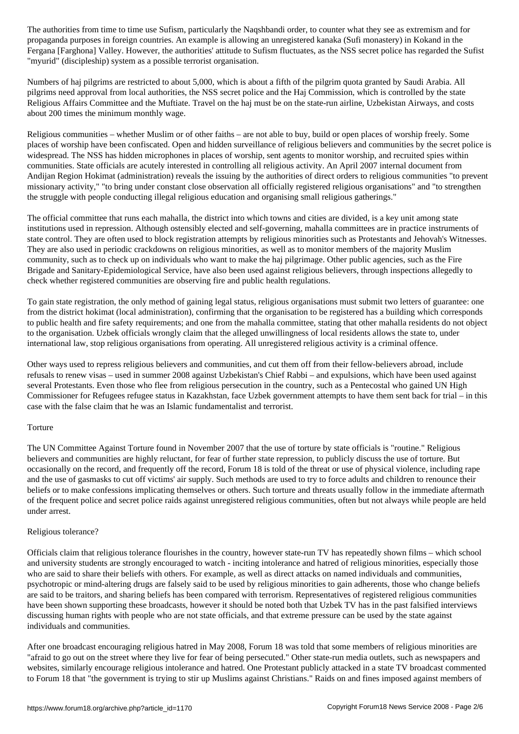propaganda purposes in foreign countries. An example is allowing an unregistered kanaka (Sufi monastery) in Kokand in the Fergana [Farghona] Valley. However, the authorities' attitude to Sufism fluctuates, as the NSS secret police has regarded the Sufist "myurid" (discipleship) system as a possible terrorist organisation.

Numbers of haj pilgrims are restricted to about 5,000, which is about a fifth of the pilgrim quota granted by Saudi Arabia. All pilgrims need approval from local authorities, the NSS secret police and the Haj Commission, which is controlled by the state Religious Affairs Committee and the Muftiate. Travel on the haj must be on the state-run airline, Uzbekistan Airways, and costs about 200 times the minimum monthly wage.

Religious communities – whether Muslim or of other faiths – are not able to buy, build or open places of worship freely. Some places of worship have been confiscated. Open and hidden surveillance of religious believers and communities by the secret police is widespread. The NSS has hidden microphones in places of worship, sent agents to monitor worship, and recruited spies within communities. State officials are acutely interested in controlling all religious activity. An April 2007 internal document from Andijan Region Hokimat (administration) reveals the issuing by the authorities of direct orders to religious communities "to prevent missionary activity," "to bring under constant close observation all officially registered religious organisations" and "to strengthen the struggle with people conducting illegal religious education and organising small religious gatherings."

The official committee that runs each mahalla, the district into which towns and cities are divided, is a key unit among state institutions used in repression. Although ostensibly elected and self-governing, mahalla committees are in practice instruments of state control. They are often used to block registration attempts by religious minorities such as Protestants and Jehovah's Witnesses. They are also used in periodic crackdowns on religious minorities, as well as to monitor members of the majority Muslim community, such as to check up on individuals who want to make the haj pilgrimage. Other public agencies, such as the Fire Brigade and Sanitary-Epidemiological Service, have also been used against religious believers, through inspections allegedly to check whether registered communities are observing fire and public health regulations.

To gain state registration, the only method of gaining legal status, religious organisations must submit two letters of guarantee: one from the district hokimat (local administration), confirming that the organisation to be registered has a building which corresponds to public health and fire safety requirements; and one from the mahalla committee, stating that other mahalla residents do not object to the organisation. Uzbek officials wrongly claim that the alleged unwillingness of local residents allows the state to, under international law, stop religious organisations from operating. All unregistered religious activity is a criminal offence.

Other ways used to repress religious believers and communities, and cut them off from their fellow-believers abroad, include refusals to renew visas – used in summer 2008 against Uzbekistan's Chief Rabbi – and expulsions, which have been used against several Protestants. Even those who flee from religious persecution in the country, such as a Pentecostal who gained UN High Commissioner for Refugees refugee status in Kazakhstan, face Uzbek government attempts to have them sent back for trial – in this case with the false claim that he was an Islamic fundamentalist and terrorist.

# Torture

The UN Committee Against Torture found in November 2007 that the use of torture by state officials is "routine." Religious believers and communities are highly reluctant, for fear of further state repression, to publicly discuss the use of torture. But occasionally on the record, and frequently off the record, Forum 18 is told of the threat or use of physical violence, including rape and the use of gasmasks to cut off victims' air supply. Such methods are used to try to force adults and children to renounce their beliefs or to make confessions implicating themselves or others. Such torture and threats usually follow in the immediate aftermath of the frequent police and secret police raids against unregistered religious communities, often but not always while people are held under arrest.

#### Religious tolerance?

Officials claim that religious tolerance flourishes in the country, however state-run TV has repeatedly shown films – which school and university students are strongly encouraged to watch - inciting intolerance and hatred of religious minorities, especially those who are said to share their beliefs with others. For example, as well as direct attacks on named individuals and communities, psychotropic or mind-altering drugs are falsely said to be used by religious minorities to gain adherents, those who change beliefs are said to be traitors, and sharing beliefs has been compared with terrorism. Representatives of registered religious communities have been shown supporting these broadcasts, however it should be noted both that Uzbek TV has in the past falsified interviews discussing human rights with people who are not state officials, and that extreme pressure can be used by the state against individuals and communities.

After one broadcast encouraging religious hatred in May 2008, Forum 18 was told that some members of religious minorities are "afraid to go out on the street where they live for fear of being persecuted." Other state-run media outlets, such as newspapers and websites, similarly encourage religious intolerance and hatred. One Protestant publicly attacked in a state TV broadcast commented to Forum 18 that "the government is trying to stir up Muslims against Christians." Raids on and fines imposed against members of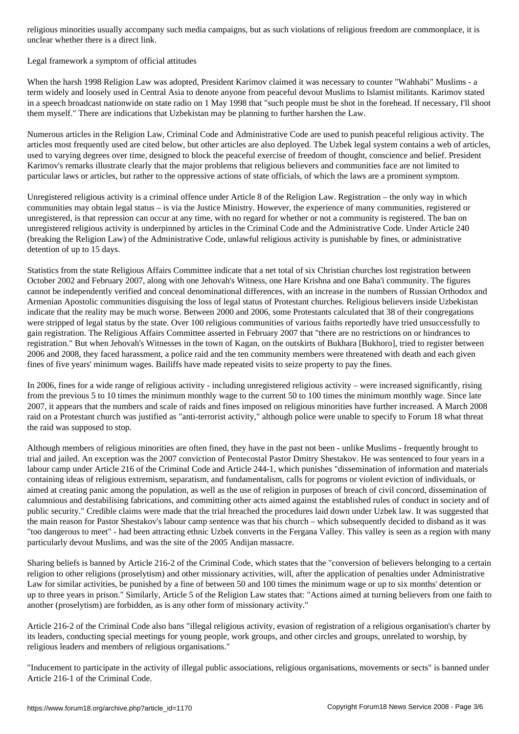### Legal framework a symptom of official attitudes

When the harsh 1998 Religion Law was adopted, President Karimov claimed it was necessary to counter "Wahhabi" Muslims - a term widely and loosely used in Central Asia to denote anyone from peaceful devout Muslims to Islamist militants. Karimov stated in a speech broadcast nationwide on state radio on 1 May 1998 that "such people must be shot in the forehead. If necessary, I'll shoot them myself." There are indications that Uzbekistan may be planning to further harshen the Law.

Numerous articles in the Religion Law, Criminal Code and Administrative Code are used to punish peaceful religious activity. The articles most frequently used are cited below, but other articles are also deployed. The Uzbek legal system contains a web of articles, used to varying degrees over time, designed to block the peaceful exercise of freedom of thought, conscience and belief. President Karimov's remarks illustrate clearly that the major problems that religious believers and communities face are not limited to particular laws or articles, but rather to the oppressive actions of state officials, of which the laws are a prominent symptom.

Unregistered religious activity is a criminal offence under Article 8 of the Religion Law. Registration – the only way in which communities may obtain legal status – is via the Justice Ministry. However, the experience of many communities, registered or unregistered, is that repression can occur at any time, with no regard for whether or not a community is registered. The ban on unregistered religious activity is underpinned by articles in the Criminal Code and the Administrative Code. Under Article 240 (breaking the Religion Law) of the Administrative Code, unlawful religious activity is punishable by fines, or administrative detention of up to 15 days.

Statistics from the state Religious Affairs Committee indicate that a net total of six Christian churches lost registration between October 2002 and February 2007, along with one Jehovah's Witness, one Hare Krishna and one Baha'i community. The figures cannot be independently verified and conceal denominational differences, with an increase in the numbers of Russian Orthodox and Armenian Apostolic communities disguising the loss of legal status of Protestant churches. Religious believers inside Uzbekistan indicate that the reality may be much worse. Between 2000 and 2006, some Protestants calculated that 38 of their congregations were stripped of legal status by the state. Over 100 religious communities of various faiths reportedly have tried unsuccessfully to gain registration. The Religious Affairs Committee asserted in February 2007 that "there are no restrictions on or hindrances to registration." But when Jehovah's Witnesses in the town of Kagan, on the outskirts of Bukhara [Bukhoro], tried to register between 2006 and 2008, they faced harassment, a police raid and the ten community members were threatened with death and each given fines of five years' minimum wages. Bailiffs have made repeated visits to seize property to pay the fines.

In 2006, fines for a wide range of religious activity - including unregistered religious activity – were increased significantly, rising from the previous 5 to 10 times the minimum monthly wage to the current 50 to 100 times the minimum monthly wage. Since late 2007, it appears that the numbers and scale of raids and fines imposed on religious minorities have further increased. A March 2008 raid on a Protestant church was justified as "anti-terrorist activity," although police were unable to specify to Forum 18 what threat the raid was supposed to stop.

Although members of religious minorities are often fined, they have in the past not been - unlike Muslims - frequently brought to trial and jailed. An exception was the 2007 conviction of Pentecostal Pastor Dmitry Shestakov. He was sentenced to four years in a labour camp under Article 216 of the Criminal Code and Article 244-1, which punishes "dissemination of information and materials containing ideas of religious extremism, separatism, and fundamentalism, calls for pogroms or violent eviction of individuals, or aimed at creating panic among the population, as well as the use of religion in purposes of breach of civil concord, dissemination of calumnious and destabilising fabrications, and committing other acts aimed against the established rules of conduct in society and of public security." Credible claims were made that the trial breached the procedures laid down under Uzbek law. It was suggested that the main reason for Pastor Shestakov's labour camp sentence was that his church – which subsequently decided to disband as it was "too dangerous to meet" - had been attracting ethnic Uzbek converts in the Fergana Valley. This valley is seen as a region with many particularly devout Muslims, and was the site of the 2005 Andijan massacre.

Sharing beliefs is banned by Article 216-2 of the Criminal Code, which states that the "conversion of believers belonging to a certain religion to other religions (proselytism) and other missionary activities, will, after the application of penalties under Administrative Law for similar activities, be punished by a fine of between 50 and 100 times the minimum wage or up to six months' detention or up to three years in prison." Similarly, Article 5 of the Religion Law states that: "Actions aimed at turning believers from one faith to another (proselytism) are forbidden, as is any other form of missionary activity."

Article 216-2 of the Criminal Code also bans "illegal religious activity, evasion of registration of a religious organisation's charter by its leaders, conducting special meetings for young people, work groups, and other circles and groups, unrelated to worship, by religious leaders and members of religious organisations."

"Inducement to participate in the activity of illegal public associations, religious organisations, movements or sects" is banned under Article 216-1 of the Criminal Code.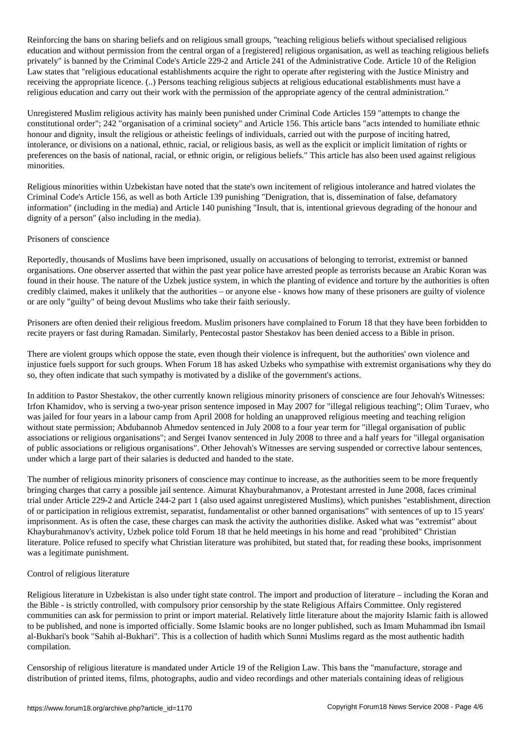Reinforcing the bans on sharing beliefs and on religious small groups, "teaching religious beliefs without specialised religious education and without permission from the central organ of a [registered] religious organisation, as well as teaching religious beliefs privately" is banned by the Criminal Code's Article 229-2 and Article 241 of the Administrative Code. Article 10 of the Religion Law states that "religious educational establishments acquire the right to operate after registering with the Justice Ministry and receiving the appropriate licence. (..) Persons teaching religious subjects at religious educational establishments must have a religious education and carry out their work with the permission of the appropriate agency of the central administration."

Unregistered Muslim religious activity has mainly been punished under Criminal Code Articles 159 "attempts to change the constitutional order"; 242 "organisation of a criminal society" and Article 156. This article bans "acts intended to humiliate ethnic honour and dignity, insult the religious or atheistic feelings of individuals, carried out with the purpose of inciting hatred, intolerance, or divisions on a national, ethnic, racial, or religious basis, as well as the explicit or implicit limitation of rights or preferences on the basis of national, racial, or ethnic origin, or religious beliefs." This article has also been used against religious minorities.

Religious minorities within Uzbekistan have noted that the state's own incitement of religious intolerance and hatred violates the Criminal Code's Article 156, as well as both Article 139 punishing "Denigration, that is, dissemination of false, defamatory information" (including in the media) and Article 140 punishing "Insult, that is, intentional grievous degrading of the honour and dignity of a person" (also including in the media).

# Prisoners of conscience

Reportedly, thousands of Muslims have been imprisoned, usually on accusations of belonging to terrorist, extremist or banned organisations. One observer asserted that within the past year police have arrested people as terrorists because an Arabic Koran was found in their house. The nature of the Uzbek justice system, in which the planting of evidence and torture by the authorities is often credibly claimed, makes it unlikely that the authorities – or anyone else - knows how many of these prisoners are guilty of violence or are only "guilty" of being devout Muslims who take their faith seriously.

Prisoners are often denied their religious freedom. Muslim prisoners have complained to Forum 18 that they have been forbidden to recite prayers or fast during Ramadan. Similarly, Pentecostal pastor Shestakov has been denied access to a Bible in prison.

There are violent groups which oppose the state, even though their violence is infrequent, but the authorities' own violence and injustice fuels support for such groups. When Forum 18 has asked Uzbeks who sympathise with extremist organisations why they do so, they often indicate that such sympathy is motivated by a dislike of the government's actions.

In addition to Pastor Shestakov, the other currently known religious minority prisoners of conscience are four Jehovah's Witnesses: Irfon Khamidov, who is serving a two-year prison sentence imposed in May 2007 for "illegal religious teaching"; Olim Turaev, who was jailed for four years in a labour camp from April 2008 for holding an unapproved religious meeting and teaching religion without state permission; Abdubannob Ahmedov sentenced in July 2008 to a four year term for "illegal organisation of public associations or religious organisations"; and Sergei Ivanov sentenced in July 2008 to three and a half years for "illegal organisation of public associations or religious organisations". Other Jehovah's Witnesses are serving suspended or corrective labour sentences, under which a large part of their salaries is deducted and handed to the state.

The number of religious minority prisoners of conscience may continue to increase, as the authorities seem to be more frequently bringing charges that carry a possible jail sentence. Aimurat Khayburahmanov, a Protestant arrested in June 2008, faces criminal trial under Article 229-2 and Article 244-2 part 1 (also used against unregistered Muslims), which punishes "establishment, direction of or participation in religious extremist, separatist, fundamentalist or other banned organisations" with sentences of up to 15 years' imprisonment. As is often the case, these charges can mask the activity the authorities dislike. Asked what was "extremist" about Khayburahmanov's activity, Uzbek police told Forum 18 that he held meetings in his home and read "prohibited" Christian literature. Police refused to specify what Christian literature was prohibited, but stated that, for reading these books, imprisonment was a legitimate punishment.

# Control of religious literature

Religious literature in Uzbekistan is also under tight state control. The import and production of literature – including the Koran and the Bible - is strictly controlled, with compulsory prior censorship by the state Religious Affairs Committee. Only registered communities can ask for permission to print or import material. Relatively little literature about the majority Islamic faith is allowed to be published, and none is imported officially. Some Islamic books are no longer published, such as Imam Muhammad ibn Ismail al-Bukhari's book "Sahih al-Bukhari". This is a collection of hadith which Sunni Muslims regard as the most authentic hadith compilation.

Censorship of religious literature is mandated under Article 19 of the Religion Law. This bans the "manufacture, storage and distribution of printed items, films, photographs, audio and video recordings and other materials containing ideas of religious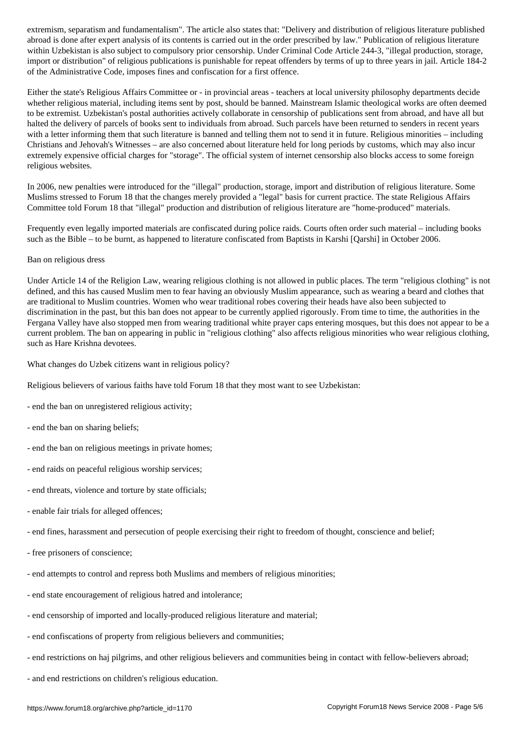abroad is done after expert analysis of its contents is carried out in the order prescribed by law." Publication of religious literature within Uzbekistan is also subject to compulsory prior censorship. Under Criminal Code Article 244-3, "illegal production, storage, import or distribution" of religious publications is punishable for repeat offenders by terms of up to three years in jail. Article 184-2 of the Administrative Code, imposes fines and confiscation for a first offence.

Either the state's Religious Affairs Committee or - in provincial areas - teachers at local university philosophy departments decide whether religious material, including items sent by post, should be banned. Mainstream Islamic theological works are often deemed to be extremist. Uzbekistan's postal authorities actively collaborate in censorship of publications sent from abroad, and have all but halted the delivery of parcels of books sent to individuals from abroad. Such parcels have been returned to senders in recent years with a letter informing them that such literature is banned and telling them not to send it in future. Religious minorities – including Christians and Jehovah's Witnesses – are also concerned about literature held for long periods by customs, which may also incur extremely expensive official charges for "storage". The official system of internet censorship also blocks access to some foreign religious websites.

In 2006, new penalties were introduced for the "illegal" production, storage, import and distribution of religious literature. Some Muslims stressed to Forum 18 that the changes merely provided a "legal" basis for current practice. The state Religious Affairs Committee told Forum 18 that "illegal" production and distribution of religious literature are "home-produced" materials.

Frequently even legally imported materials are confiscated during police raids. Courts often order such material – including books such as the Bible – to be burnt, as happened to literature confiscated from Baptists in Karshi [Qarshi] in October 2006.

#### Ban on religious dress

Under Article 14 of the Religion Law, wearing religious clothing is not allowed in public places. The term "religious clothing" is not defined, and this has caused Muslim men to fear having an obviously Muslim appearance, such as wearing a beard and clothes that are traditional to Muslim countries. Women who wear traditional robes covering their heads have also been subjected to discrimination in the past, but this ban does not appear to be currently applied rigorously. From time to time, the authorities in the Fergana Valley have also stopped men from wearing traditional white prayer caps entering mosques, but this does not appear to be a current problem. The ban on appearing in public in "religious clothing" also affects religious minorities who wear religious clothing, such as Hare Krishna devotees.

What changes do Uzbek citizens want in religious policy?

Religious believers of various faiths have told Forum 18 that they most want to see Uzbekistan:

- end the ban on unregistered religious activity;
- end the ban on sharing beliefs;
- end the ban on religious meetings in private homes;
- end raids on peaceful religious worship services;
- end threats, violence and torture by state officials;
- enable fair trials for alleged offences;
- end fines, harassment and persecution of people exercising their right to freedom of thought, conscience and belief;
- free prisoners of conscience;
- end attempts to control and repress both Muslims and members of religious minorities;
- end state encouragement of religious hatred and intolerance;
- end censorship of imported and locally-produced religious literature and material;
- end confiscations of property from religious believers and communities;
- end restrictions on haj pilgrims, and other religious believers and communities being in contact with fellow-believers abroad;
- and end restrictions on children's religious education.